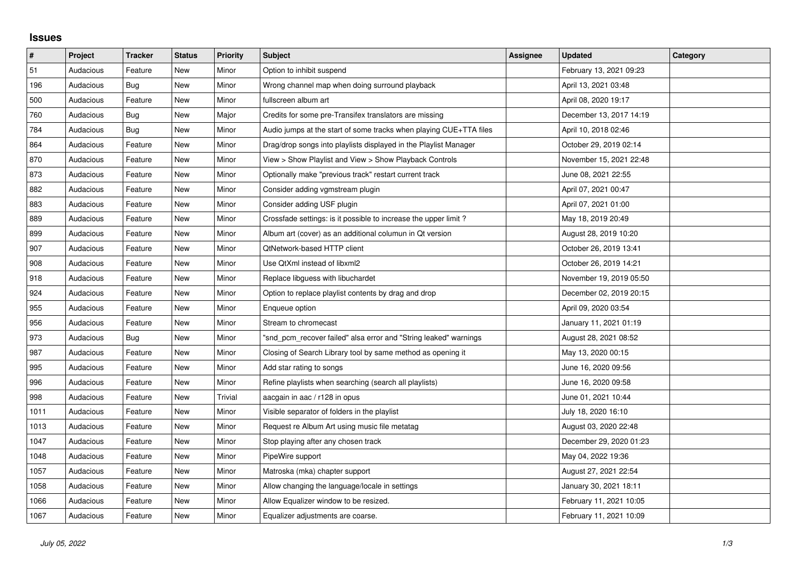## **Issues**

| $\sharp$ | Project   | <b>Tracker</b> | <b>Status</b> | <b>Priority</b> | <b>Subject</b>                                                     | <b>Assignee</b> | <b>Updated</b>          | Category |
|----------|-----------|----------------|---------------|-----------------|--------------------------------------------------------------------|-----------------|-------------------------|----------|
| 51       | Audacious | Feature        | <b>New</b>    | Minor           | Option to inhibit suspend                                          |                 | February 13, 2021 09:23 |          |
| 196      | Audacious | <b>Bug</b>     | <b>New</b>    | Minor           | Wrong channel map when doing surround playback                     |                 | April 13, 2021 03:48    |          |
| 500      | Audacious | Feature        | New           | Minor           | fullscreen album art                                               |                 | April 08, 2020 19:17    |          |
| 760      | Audacious | Bug            | <b>New</b>    | Major           | Credits for some pre-Transifex translators are missing             |                 | December 13, 2017 14:19 |          |
| 784      | Audacious | <b>Bug</b>     | <b>New</b>    | Minor           | Audio jumps at the start of some tracks when playing CUE+TTA files |                 | April 10, 2018 02:46    |          |
| 864      | Audacious | Feature        | New           | Minor           | Drag/drop songs into playlists displayed in the Playlist Manager   |                 | October 29, 2019 02:14  |          |
| 870      | Audacious | Feature        | <b>New</b>    | Minor           | View > Show Playlist and View > Show Playback Controls             |                 | November 15, 2021 22:48 |          |
| 873      | Audacious | Feature        | New           | Minor           | Optionally make "previous track" restart current track             |                 | June 08, 2021 22:55     |          |
| 882      | Audacious | Feature        | <b>New</b>    | Minor           | Consider adding vgmstream plugin                                   |                 | April 07, 2021 00:47    |          |
| 883      | Audacious | Feature        | <b>New</b>    | Minor           | Consider adding USF plugin                                         |                 | April 07, 2021 01:00    |          |
| 889      | Audacious | Feature        | <b>New</b>    | Minor           | Crossfade settings: is it possible to increase the upper limit?    |                 | May 18, 2019 20:49      |          |
| 899      | Audacious | Feature        | New           | Minor           | Album art (cover) as an additional columun in Qt version           |                 | August 28, 2019 10:20   |          |
| 907      | Audacious | Feature        | <b>New</b>    | Minor           | QtNetwork-based HTTP client                                        |                 | October 26, 2019 13:41  |          |
| 908      | Audacious | Feature        | <b>New</b>    | Minor           | Use QtXml instead of libxml2                                       |                 | October 26, 2019 14:21  |          |
| 918      | Audacious | Feature        | <b>New</b>    | Minor           | Replace libguess with libuchardet                                  |                 | November 19, 2019 05:50 |          |
| 924      | Audacious | Feature        | <b>New</b>    | Minor           | Option to replace playlist contents by drag and drop               |                 | December 02, 2019 20:15 |          |
| 955      | Audacious | Feature        | <b>New</b>    | Minor           | Enqueue option                                                     |                 | April 09, 2020 03:54    |          |
| 956      | Audacious | Feature        | <b>New</b>    | Minor           | Stream to chromecast                                               |                 | January 11, 2021 01:19  |          |
| 973      | Audacious | Bug            | New           | Minor           | "snd pcm recover failed" alsa error and "String leaked" warnings   |                 | August 28, 2021 08:52   |          |
| 987      | Audacious | Feature        | <b>New</b>    | Minor           | Closing of Search Library tool by same method as opening it        |                 | May 13, 2020 00:15      |          |
| 995      | Audacious | Feature        | <b>New</b>    | Minor           | Add star rating to songs                                           |                 | June 16, 2020 09:56     |          |
| 996      | Audacious | Feature        | New           | Minor           | Refine playlists when searching (search all playlists)             |                 | June 16, 2020 09:58     |          |
| 998      | Audacious | Feature        | <b>New</b>    | <b>Trivial</b>  | aacgain in aac / r128 in opus                                      |                 | June 01, 2021 10:44     |          |
| 1011     | Audacious | Feature        | <b>New</b>    | Minor           | Visible separator of folders in the playlist                       |                 | July 18, 2020 16:10     |          |
| 1013     | Audacious | Feature        | <b>New</b>    | Minor           | Request re Album Art using music file metatag                      |                 | August 03, 2020 22:48   |          |
| 1047     | Audacious | Feature        | New           | Minor           | Stop playing after any chosen track                                |                 | December 29, 2020 01:23 |          |
| 1048     | Audacious | Feature        | <b>New</b>    | Minor           | PipeWire support                                                   |                 | May 04, 2022 19:36      |          |
| 1057     | Audacious | Feature        | New           | Minor           | Matroska (mka) chapter support                                     |                 | August 27, 2021 22:54   |          |
| 1058     | Audacious | Feature        | New           | Minor           | Allow changing the language/locale in settings                     |                 | January 30, 2021 18:11  |          |
| 1066     | Audacious | Feature        | <b>New</b>    | Minor           | Allow Equalizer window to be resized.                              |                 | February 11, 2021 10:05 |          |
| 1067     | Audacious | Feature        | <b>New</b>    | Minor           | Equalizer adjustments are coarse.                                  |                 | February 11, 2021 10:09 |          |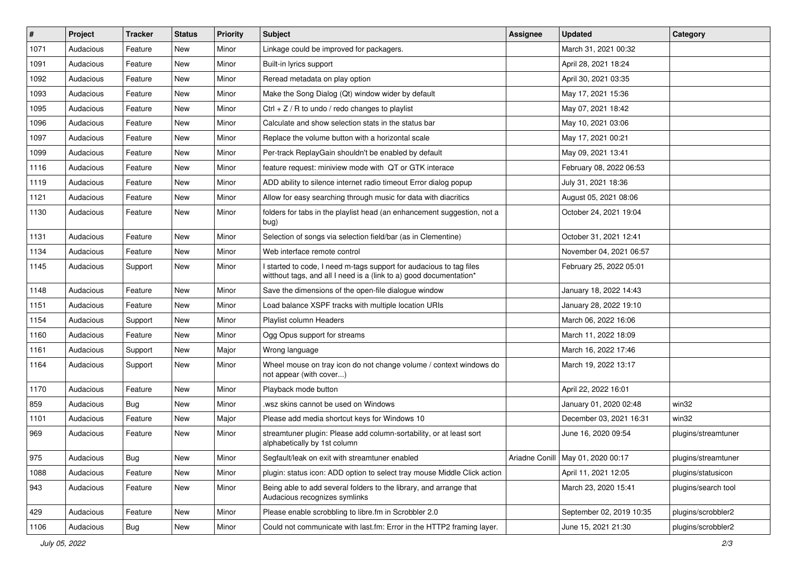| $\sharp$ | Project   | <b>Tracker</b> | <b>Status</b> | <b>Priority</b> | Subject                                                                                                                                   | <b>Assignee</b> | <b>Updated</b>                      | Category            |
|----------|-----------|----------------|---------------|-----------------|-------------------------------------------------------------------------------------------------------------------------------------------|-----------------|-------------------------------------|---------------------|
| 1071     | Audacious | Feature        | New           | Minor           | Linkage could be improved for packagers.                                                                                                  |                 | March 31, 2021 00:32                |                     |
| 1091     | Audacious | Feature        | New           | Minor           | Built-in lyrics support                                                                                                                   |                 | April 28, 2021 18:24                |                     |
| 1092     | Audacious | Feature        | New           | Minor           | Reread metadata on play option                                                                                                            |                 | April 30, 2021 03:35                |                     |
| 1093     | Audacious | Feature        | New           | Minor           | Make the Song Dialog (Qt) window wider by default                                                                                         |                 | May 17, 2021 15:36                  |                     |
| 1095     | Audacious | Feature        | New           | Minor           | Ctrl + $Z$ / R to undo / redo changes to playlist                                                                                         |                 | May 07, 2021 18:42                  |                     |
| 1096     | Audacious | Feature        | New           | Minor           | Calculate and show selection stats in the status bar                                                                                      |                 | May 10, 2021 03:06                  |                     |
| 1097     | Audacious | Feature        | New           | Minor           | Replace the volume button with a horizontal scale                                                                                         |                 | May 17, 2021 00:21                  |                     |
| 1099     | Audacious | Feature        | New           | Minor           | Per-track ReplayGain shouldn't be enabled by default                                                                                      |                 | May 09, 2021 13:41                  |                     |
| 1116     | Audacious | Feature        | New           | Minor           | feature request: miniview mode with QT or GTK interace                                                                                    |                 | February 08, 2022 06:53             |                     |
| 1119     | Audacious | Feature        | New           | Minor           | ADD ability to silence internet radio timeout Error dialog popup                                                                          |                 | July 31, 2021 18:36                 |                     |
| 1121     | Audacious | Feature        | New           | Minor           | Allow for easy searching through music for data with diacritics                                                                           |                 | August 05, 2021 08:06               |                     |
| 1130     | Audacious | Feature        | New           | Minor           | folders for tabs in the playlist head (an enhancement suggestion, not a<br>bug)                                                           |                 | October 24, 2021 19:04              |                     |
| 1131     | Audacious | Feature        | New           | Minor           | Selection of songs via selection field/bar (as in Clementine)                                                                             |                 | October 31, 2021 12:41              |                     |
| 1134     | Audacious | Feature        | New           | Minor           | Web interface remote control                                                                                                              |                 | November 04, 2021 06:57             |                     |
| 1145     | Audacious | Support        | New           | Minor           | I started to code, I need m-tags support for audacious to tag files<br>witthout tags, and all I need is a (link to a) good documentation* |                 | February 25, 2022 05:01             |                     |
| 1148     | Audacious | Feature        | New           | Minor           | Save the dimensions of the open-file dialogue window                                                                                      |                 | January 18, 2022 14:43              |                     |
| 1151     | Audacious | Feature        | New           | Minor           | Load balance XSPF tracks with multiple location URIs                                                                                      |                 | January 28, 2022 19:10              |                     |
| 1154     | Audacious | Support        | New           | Minor           | Playlist column Headers                                                                                                                   |                 | March 06, 2022 16:06                |                     |
| 1160     | Audacious | Feature        | New           | Minor           | Ogg Opus support for streams                                                                                                              |                 | March 11, 2022 18:09                |                     |
| 1161     | Audacious | Support        | New           | Major           | Wrong language                                                                                                                            |                 | March 16, 2022 17:46                |                     |
| 1164     | Audacious | Support        | New           | Minor           | Wheel mouse on tray icon do not change volume / context windows do<br>not appear (with cover)                                             |                 | March 19, 2022 13:17                |                     |
| 1170     | Audacious | Feature        | New           | Minor           | Playback mode button                                                                                                                      |                 | April 22, 2022 16:01                |                     |
| 859      | Audacious | Bug            | New           | Minor           | wsz skins cannot be used on Windows                                                                                                       |                 | January 01, 2020 02:48              | win32               |
| 1101     | Audacious | Feature        | New           | Major           | Please add media shortcut keys for Windows 10                                                                                             |                 | December 03, 2021 16:31             | win32               |
| 969      | Audacious | Feature        | New           | Minor           | streamtuner plugin: Please add column-sortability, or at least sort<br>alphabetically by 1st column                                       |                 | June 16, 2020 09:54                 | plugins/streamtuner |
| 975      | Audacious | <b>Bug</b>     | New           | Minor           | Segfault/leak on exit with streamtuner enabled                                                                                            |                 | Ariadne Conill   May 01, 2020 00:17 | plugins/streamtuner |
| 1088     | Audacious | Feature        | New           | Minor           | plugin: status icon: ADD option to select tray mouse Middle Click action                                                                  |                 | April 11, 2021 12:05                | plugins/statusicon  |
| 943      | Audacious | Feature        | New           | Minor           | Being able to add several folders to the library, and arrange that<br>Audacious recognizes symlinks                                       |                 | March 23, 2020 15:41                | plugins/search tool |
| 429      | Audacious | Feature        | New           | Minor           | Please enable scrobbling to libre.fm in Scrobbler 2.0                                                                                     |                 | September 02, 2019 10:35            | plugins/scrobbler2  |
| 1106     | Audacious | Bug            | New           | Minor           | Could not communicate with last.fm: Error in the HTTP2 framing layer.                                                                     |                 | June 15, 2021 21:30                 | plugins/scrobbler2  |